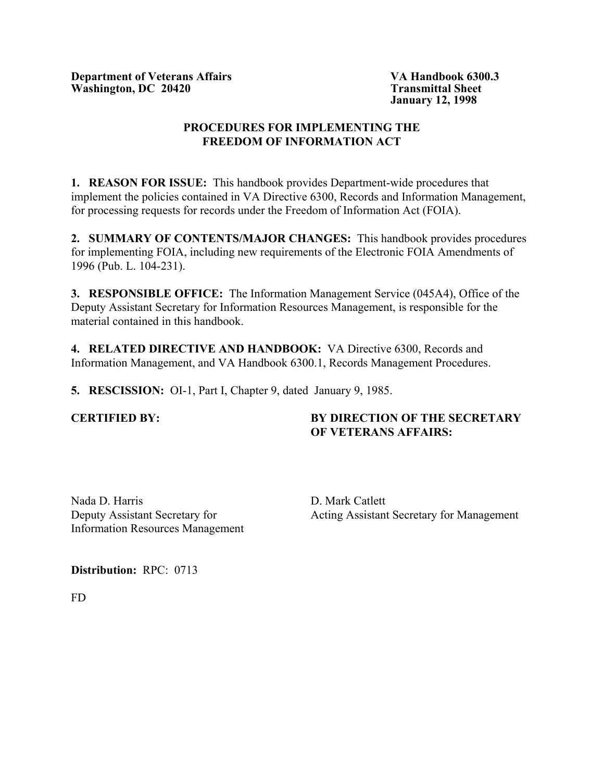**Department of Veterans Affairs VA Handbook 6300.3** Washington, DC 20420 Transmittal Sheet

**January 12, 1998**

# **PROCEDURES FOR IMPLEMENTING THE FREEDOM OF INFORMATION ACT**

**1. REASON FOR ISSUE:** This handbook provides Department-wide procedures that implement the policies contained in VA Directive 6300, Records and Information Management, for processing requests for records under the Freedom of Information Act (FOIA).

**2. SUMMARY OF CONTENTS/MAJOR CHANGES:** This handbook provides procedures for implementing FOIA, including new requirements of the Electronic FOIA Amendments of 1996 (Pub. L. 104-231).

**3. RESPONSIBLE OFFICE:** The Information Management Service (045A4), Office of the Deputy Assistant Secretary for Information Resources Management, is responsible for the material contained in this handbook.

**4. RELATED DIRECTIVE AND HANDBOOK:** VA Directive 6300, Records and Information Management, and VA Handbook 6300.1, Records Management Procedures.

**5. RESCISSION:** OI-1, Part I, Chapter 9, dated January 9, 1985.

# **CERTIFIED BY: BY DIRECTION OF THE SECRETARY OF VETERANS AFFAIRS:**

Nada D. Harris D. Mark Catlett Information Resources Management

Deputy Assistant Secretary for Acting Assistant Secretary for Management

**Distribution:** RPC: 0713

FD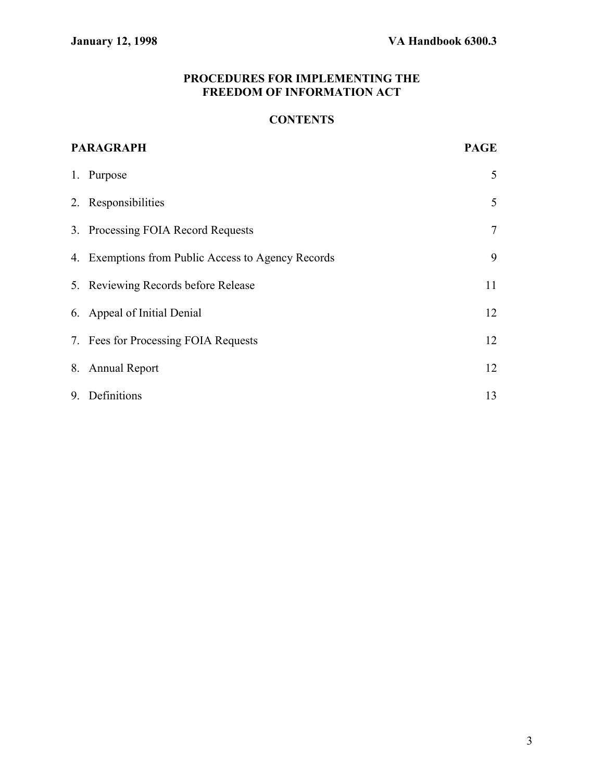# **PROCEDURES FOR IMPLEMENTING THE FREEDOM OF INFORMATION ACT**

# **CONTENTS**

| <b>PARAGRAPH</b> |                                                    | <b>PAGE</b>    |
|------------------|----------------------------------------------------|----------------|
|                  | 1. Purpose                                         | 5              |
|                  | 2. Responsibilities                                | 5              |
|                  | 3. Processing FOIA Record Requests                 | $\overline{7}$ |
|                  | 4. Exemptions from Public Access to Agency Records | 9              |
|                  | 5. Reviewing Records before Release                | 11             |
|                  | 6. Appeal of Initial Denial                        | 12             |
|                  | 7. Fees for Processing FOIA Requests               | 12             |
|                  | 8. Annual Report                                   | 12             |
|                  | 9. Definitions                                     | 13             |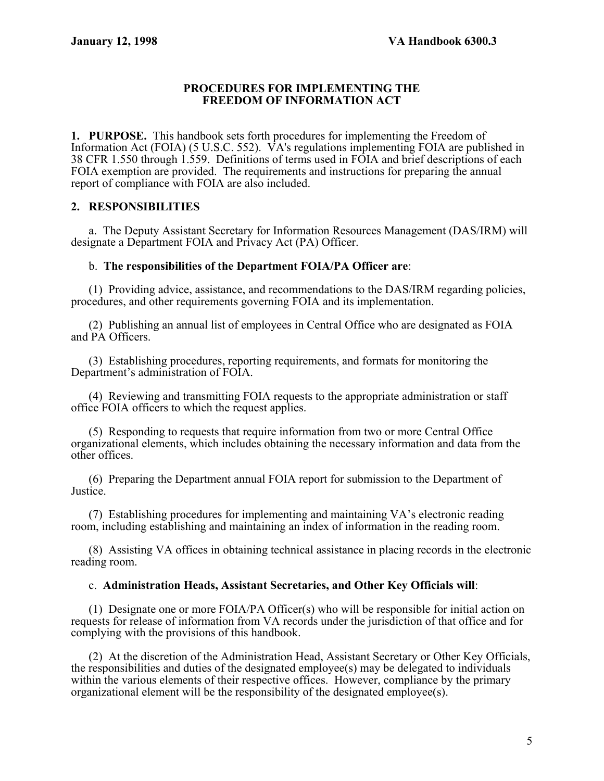#### **PROCEDURES FOR IMPLEMENTING THE FREEDOM OF INFORMATION ACT**

**1. PURPOSE.** This handbook sets forth procedures for implementing the Freedom of Information Act (FOIA) (5 U.S.C. 552). VA's regulations implementing FOIA are published in 38 CFR 1.550 through 1.559. Definitions of terms used in FOIA and brief descriptions of each FOIA exemption are provided. The requirements and instructions for preparing the annual report of compliance with FOIA are also included.

# **2. RESPONSIBILITIES**

a. The Deputy Assistant Secretary for Information Resources Management (DAS/IRM) will designate a Department FOIA and Privacy Act (PA) Officer.

## b. **The responsibilities of the Department FOIA/PA Officer are**:

(1) Providing advice, assistance, and recommendations to the DAS/IRM regarding policies, procedures, and other requirements governing FOIA and its implementation.

(2) Publishing an annual list of employees in Central Office who are designated as FOIA and PA Officers.

(3) Establishing procedures, reporting requirements, and formats for monitoring the Department's administration of FOIA.

(4) Reviewing and transmitting FOIA requests to the appropriate administration or staff office FOIA officers to which the request applies.

(5) Responding to requests that require information from two or more Central Office organizational elements, which includes obtaining the necessary information and data from the other offices.

(6) Preparing the Department annual FOIA report for submission to the Department of Justice.

(7) Establishing procedures for implementing and maintaining VA's electronic reading room, including establishing and maintaining an index of information in the reading room.

(8) Assisting VA offices in obtaining technical assistance in placing records in the electronic reading room.

## c. **Administration Heads, Assistant Secretaries, and Other Key Officials will**:

(1) Designate one or more FOIA/PA Officer(s) who will be responsible for initial action on requests for release of information from VA records under the jurisdiction of that office and for complying with the provisions of this handbook.

(2) At the discretion of the Administration Head, Assistant Secretary or Other Key Officials, the responsibilities and duties of the designated employee(s) may be delegated to individuals within the various elements of their respective offices. However, compliance by the primary organizational element will be the responsibility of the designated employee(s).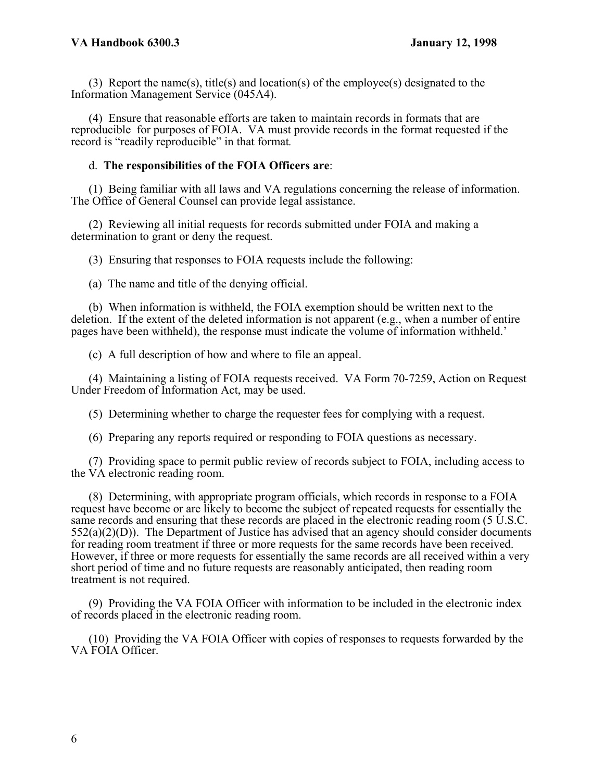(3) Report the name(s), title(s) and location(s) of the employee(s) designated to the Information Management Service (045A4).

(4) Ensure that reasonable efforts are taken to maintain records in formats that are reproducible for purposes of FOIA. VA must provide records in the format requested if the record is "readily reproducible" in that format*.* 

#### d. **The responsibilities of the FOIA Officers are**:

(1) Being familiar with all laws and VA regulations concerning the release of information. The Office of General Counsel can provide legal assistance.

(2) Reviewing all initial requests for records submitted under FOIA and making a determination to grant or deny the request.

(3) Ensuring that responses to FOIA requests include the following:

(a) The name and title of the denying official.

(b) When information is withheld, the FOIA exemption should be written next to the deletion. If the extent of the deleted information is not apparent (e.g., when a number of entire pages have been withheld), the response must indicate the volume of information withheld.'

(c) A full description of how and where to file an appeal.

(4) Maintaining a listing of FOIA requests received. VA Form 70-7259, Action on Request Under Freedom of Information Act, may be used.

(5) Determining whether to charge the requester fees for complying with a request.

(6) Preparing any reports required or responding to FOIA questions as necessary.

(7) Providing space to permit public review of records subject to FOIA, including access to the VA electronic reading room.

(8) Determining, with appropriate program officials, which records in response to a FOIA request have become or are likely to become the subject of repeated requests for essentially the same records and ensuring that these records are placed in the electronic reading room (5 U.S.C.  $552(a)(2)(D)$ ). The Department of Justice has advised that an agency should consider documents for reading room treatment if three or more requests for the same records have been received. However, if three or more requests for essentially the same records are all received within a very short period of time and no future requests are reasonably anticipated, then reading room treatment is not required.

(9) Providing the VA FOIA Officer with information to be included in the electronic index of records placed in the electronic reading room.

(10) Providing the VA FOIA Officer with copies of responses to requests forwarded by the VA FOIA Officer.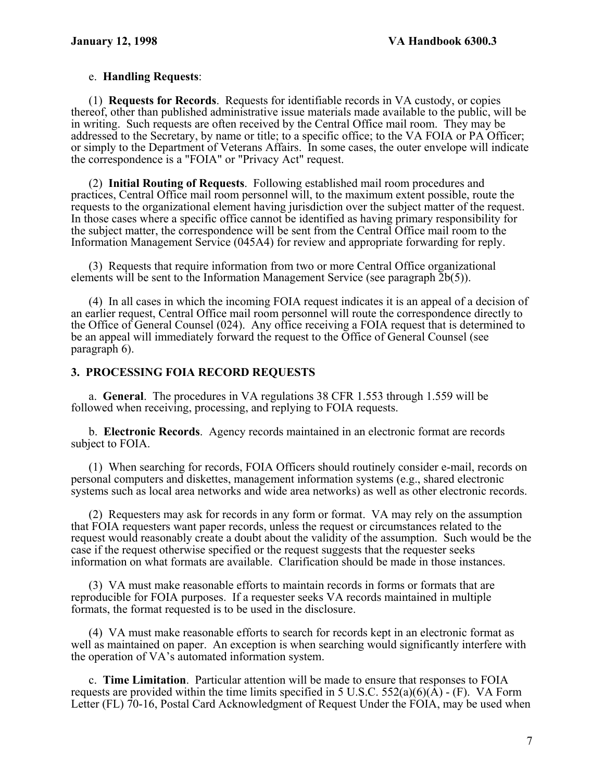## e. **Handling Requests**:

 (1) **Requests for Records**. Requests for identifiable records in VA custody, or copies thereof, other than published administrative issue materials made available to the public, will be in writing. Such requests are often received by the Central Office mail room. They may be addressed to the Secretary, by name or title; to a specific office; to the VA FOIA or PA Officer; or simply to the Department of Veterans Affairs. In some cases, the outer envelope will indicate the correspondence is a "FOIA" or "Privacy Act" request.

 (2) **Initial Routing of Requests**. Following established mail room procedures and practices, Central Office mail room personnel will, to the maximum extent possible, route the requests to the organizational element having jurisdiction over the subject matter of the request. In those cases where a specific office cannot be identified as having primary responsibility for the subject matter, the correspondence will be sent from the Central Office mail room to the Information Management Service (045A4) for review and appropriate forwarding for reply.

(3) Requests that require information from two or more Central Office organizational elements will be sent to the Information Management Service (see paragraph 2b(5)).

(4) In all cases in which the incoming FOIA request indicates it is an appeal of a decision of an earlier request, Central Office mail room personnel will route the correspondence directly to the Office of General Counsel (024). Any office receiving a FOIA request that is determined to be an appeal will immediately forward the request to the Office of General Counsel (see paragraph 6).

## **3. PROCESSING FOIA RECORD REQUESTS**

 a. **General**. The procedures in VA regulations 38 CFR 1.553 through 1.559 will be followed when receiving, processing, and replying to FOIA requests.

b. **Electronic Records**. Agency records maintained in an electronic format are records subject to FOIA.

(1) When searching for records, FOIA Officers should routinely consider e-mail, records on personal computers and diskettes, management information systems (e.g., shared electronic systems such as local area networks and wide area networks) as well as other electronic records.

(2) Requesters may ask for records in any form or format. VA may rely on the assumption that FOIA requesters want paper records, unless the request or circumstances related to the request would reasonably create a doubt about the validity of the assumption. Such would be the case if the request otherwise specified or the request suggests that the requester seeks information on what formats are available. Clarification should be made in those instances.

(3) VA must make reasonable efforts to maintain records in forms or formats that are reproducible for FOIA purposes. If a requester seeks VA records maintained in multiple formats, the format requested is to be used in the disclosure.

(4) VA must make reasonable efforts to search for records kept in an electronic format as well as maintained on paper. An exception is when searching would significantly interfere with the operation of VA's automated information system.

 c. **Time Limitation**. Particular attention will be made to ensure that responses to FOIA requests are provided within the time limits specified in 5 U.S.C.  $552(a)(6)(\overline{A}) - (F)$ . VA Form Letter (FL) 70-16, Postal Card Acknowledgment of Request Under the FOIA, may be used when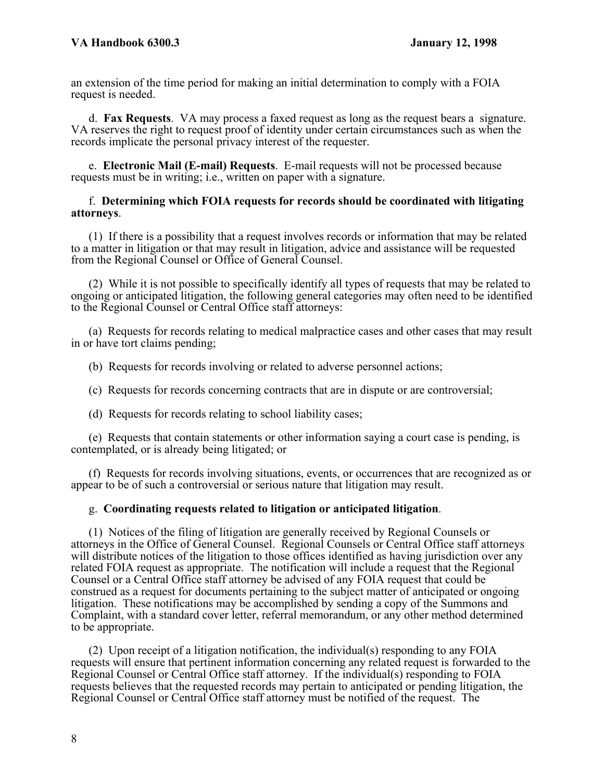an extension of the time period for making an initial determination to comply with a FOIA request is needed.

 d. **Fax Requests**. VA may process a faxed request as long as the request bears a signature. VA reserves the right to request proof of identity under certain circumstances such as when the records implicate the personal privacy interest of the requester.

 e. **Electronic Mail (E-mail) Requests**. E-mail requests will not be processed because requests must be in writing; i.e., written on paper with a signature.

#### f. **Determining which FOIA requests for records should be coordinated with litigating attorneys**.

(1) If there is a possibility that a request involves records or information that may be related to a matter in litigation or that may result in litigation, advice and assistance will be requested from the Regional Counsel or Office of General Counsel.

(2) While it is not possible to specifically identify all types of requests that may be related to ongoing or anticipated litigation, the following general categories may often need to be identified to the Regional Counsel or Central Office staff attorneys:

(a) Requests for records relating to medical malpractice cases and other cases that may result in or have tort claims pending;

(b) Requests for records involving or related to adverse personnel actions;

(c) Requests for records concerning contracts that are in dispute or are controversial;

(d) Requests for records relating to school liability cases;

(e) Requests that contain statements or other information saying a court case is pending, is contemplated, or is already being litigated; or

(f) Requests for records involving situations, events, or occurrences that are recognized as or appear to be of such a controversial or serious nature that litigation may result.

#### g. **Coordinating requests related to litigation or anticipated litigation**.

(1) Notices of the filing of litigation are generally received by Regional Counsels or attorneys in the Office of General Counsel. Regional Counsels or Central Office staff attorneys will distribute notices of the litigation to those offices identified as having jurisdiction over any related FOIA request as appropriate. The notification will include a request that the Regional Counsel or a Central Office staff attorney be advised of any FOIA request that could be construed as a request for documents pertaining to the subject matter of anticipated or ongoing litigation. These notifications may be accomplished by sending a copy of the Summons and Complaint, with a standard cover letter, referral memorandum, or any other method determined to be appropriate.

(2) Upon receipt of a litigation notification, the individual(s) responding to any FOIA requests will ensure that pertinent information concerning any related request is forwarded to the Regional Counsel or Central Office staff attorney. If the individual(s) responding to FOIA requests believes that the requested records may pertain to anticipated or pending litigation, the Regional Counsel or Central Office staff attorney must be notified of the request. The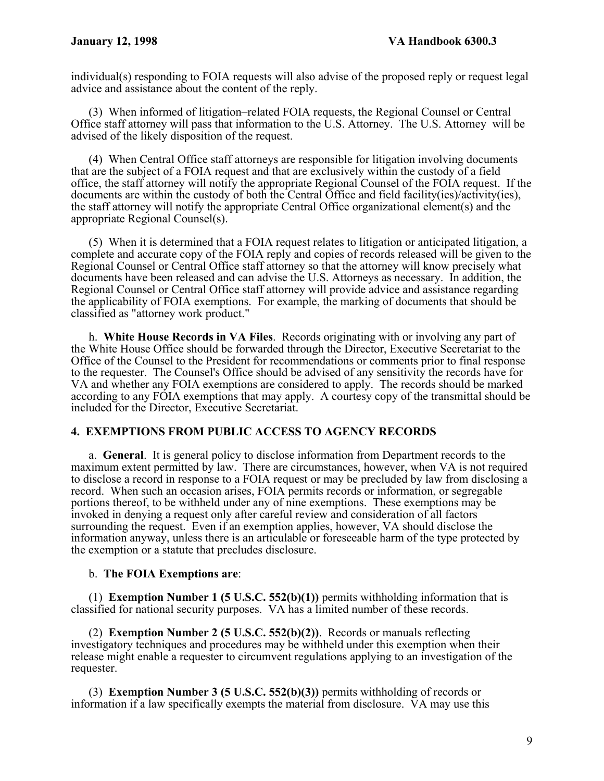individual(s) responding to FOIA requests will also advise of the proposed reply or request legal advice and assistance about the content of the reply.

(3) When informed of litigation–related FOIA requests, the Regional Counsel or Central Office staff attorney will pass that information to the U.S. Attorney. The U.S. Attorney will be advised of the likely disposition of the request.

(4) When Central Office staff attorneys are responsible for litigation involving documents that are the subject of a FOIA request and that are exclusively within the custody of a field office, the staff attorney will notify the appropriate Regional Counsel of the FOIA request. If the documents are within the custody of both the Central Office and field facility(ies)/activity(ies), the staff attorney will notify the appropriate Central Office organizational element(s) and the appropriate Regional Counsel(s).

(5) When it is determined that a FOIA request relates to litigation or anticipated litigation, a complete and accurate copy of the FOIA reply and copies of records released will be given to the Regional Counsel or Central Office staff attorney so that the attorney will know precisely what documents have been released and can advise the U.S. Attorneys as necessary. In addition, the Regional Counsel or Central Office staff attorney will provide advice and assistance regarding the applicability of FOIA exemptions. For example, the marking of documents that should be classified as "attorney work product."

 h. **White House Records in VA Files**.Records originating with or involving any part of the White House Office should be forwarded through the Director, Executive Secretariat to the Office of the Counsel to the President for recommendations or comments prior to final response to the requester. The Counsel's Office should be advised of any sensitivity the records have for VA and whether any FOIA exemptions are considered to apply. The records should be marked according to any FOIA exemptions that may apply. A courtesy copy of the transmittal should be included for the Director, Executive Secretariat.

## **4. EXEMPTIONS FROM PUBLIC ACCESS TO AGENCY RECORDS**

 a. **General**. It is general policy to disclose information from Department records to the maximum extent permitted by law. There are circumstances, however, when VA is not required to disclose a record in response to a FOIA request or may be precluded by law from disclosing a record. When such an occasion arises, FOIA permits records or information, or segregable portions thereof, to be withheld under any of nine exemptions. These exemptions may be invoked in denying a request only after careful review and consideration of all factors surrounding the request. Even if an exemption applies, however, VA should disclose the information anyway, unless there is an articulable or foreseeable harm of the type protected by the exemption or a statute that precludes disclosure.

## b. **The FOIA Exemptions are**:

 (1) **Exemption Number 1 (5 U.S.C. 552(b)(1))** permits withholding information that is classified for national security purposes. VA has a limited number of these records.

 (2) **Exemption Number 2 (5 U.S.C. 552(b)(2))**. Records or manuals reflecting investigatory techniques and procedures may be withheld under this exemption when their release might enable a requester to circumvent regulations applying to an investigation of the requester.

 (3) **Exemption Number 3 (5 U.S.C. 552(b)(3))** permits withholding of records or information if a law specifically exempts the material from disclosure.  $\bar{V}A$  may use this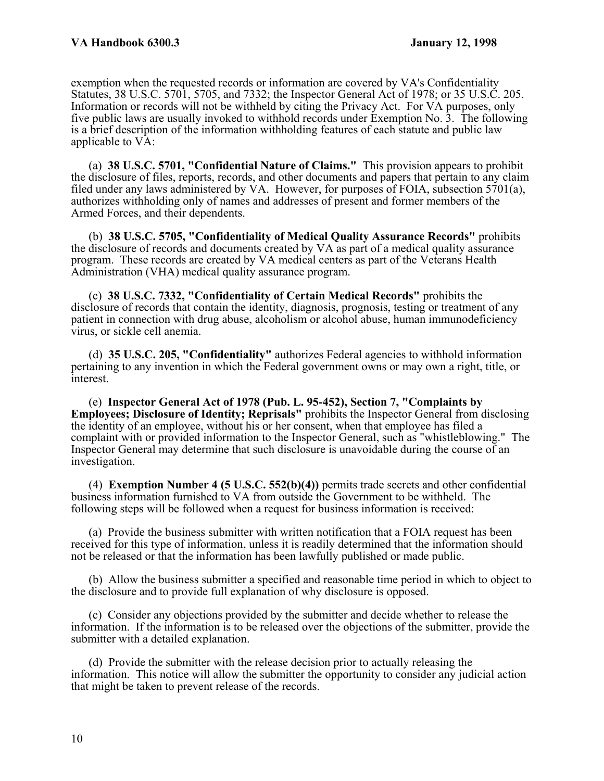exemption when the requested records or information are covered by VA's Confidentiality Statutes, 38 U.S.C. 5701, 5705, and 7332; the Inspector General Act of 1978; or 35 U.S.C. 205. Information or records will not be withheld by citing the Privacy Act. For VA purposes, only five public laws are usually invoked to withhold records under Exemption No. 3. The following is a brief description of the information withholding features of each statute and public law applicable to VA:

 (a) **38 U.S.C. 5701, "Confidential Nature of Claims."** This provision appears to prohibit the disclosure of files, reports, records, and other documents and papers that pertain to any claim filed under any laws administered by VA. However, for purposes of FOIA, subsection 5701(a), authorizes withholding only of names and addresses of present and former members of the Armed Forces, and their dependents.

 (b) **38 U.S.C. 5705, "Confidentiality of Medical Quality Assurance Records"** prohibits the disclosure of records and documents created by VA as part of a medical quality assurance program. These records are created by VA medical centers as part of the Veterans Health Administration (VHA) medical quality assurance program.

 (c) **38 U.S.C. 7332, "Confidentiality of Certain Medical Records"** prohibits the disclosure of records that contain the identity, diagnosis, prognosis, testing or treatment of any patient in connection with drug abuse, alcoholism or alcohol abuse, human immunodeficiency virus, or sickle cell anemia.

 (d) **35 U.S.C. 205, "Confidentiality"** authorizes Federal agencies to withhold information pertaining to any invention in which the Federal government owns or may own a right, title, or interest.

 (e) **Inspector General Act of 1978 (Pub. L. 95-452), Section 7, "Complaints by Employees; Disclosure of Identity; Reprisals"** prohibits the Inspector General from disclosing the identity of an employee, without his or her consent, when that employee has filed a complaint with or provided information to the Inspector General, such as "whistleblowing." The Inspector General may determine that such disclosure is unavoidable during the course of an investigation.

 (4) **Exemption Number 4 (5 U.S.C. 552(b)(4))** permits trade secrets and other confidential business information furnished to VA from outside the Government to be withheld. The following steps will be followed when a request for business information is received:

(a) Provide the business submitter with written notification that a FOIA request has been received for this type of information, unless it is readily determined that the information should not be released or that the information has been lawfully published or made public.

(b) Allow the business submitter a specified and reasonable time period in which to object to the disclosure and to provide full explanation of why disclosure is opposed.

(c) Consider any objections provided by the submitter and decide whether to release the information. If the information is to be released over the objections of the submitter, provide the submitter with a detailed explanation.

(d) Provide the submitter with the release decision prior to actually releasing the information. This notice will allow the submitter the opportunity to consider any judicial action that might be taken to prevent release of the records.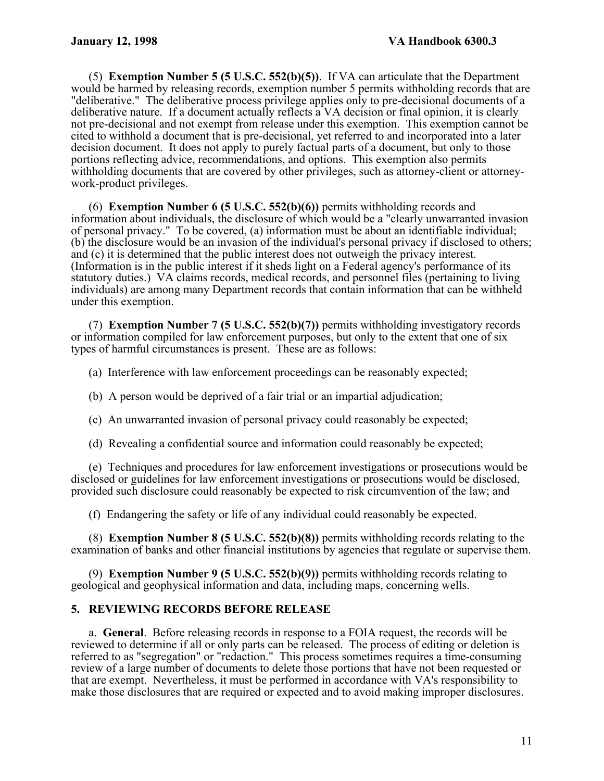(5) **Exemption Number 5 (5 U.S.C. 552(b)(5))**. If VA can articulate that the Department would be harmed by releasing records, exemption number 5 permits withholding records that are "deliberative." The deliberative process privilege applies only to pre-decisional documents of a deliberative nature. If a document actually reflects a VA decision or final opinion, it is clearly not pre-decisional and not exempt from release under this exemption. This exemption cannot be cited to withhold a document that is pre-decisional, yet referred to and incorporated into a later decision document. It does not apply to purely factual parts of a document, but only to those portions reflecting advice, recommendations, and options. This exemption also permits withholding documents that are covered by other privileges, such as attorney-client or attorneywork-product privileges.

 (6) **Exemption Number 6 (5 U.S.C. 552(b)(6))** permits withholding records and information about individuals, the disclosure of which would be a "clearly unwarranted invasion of personal privacy." To be covered, (a) information must be about an identifiable individual; (b) the disclosure would be an invasion of the individual's personal privacy if disclosed to others; and (c) it is determined that the public interest does not outweigh the privacy interest. (Information is in the public interest if it sheds light on a Federal agency's performance of its statutory duties.) VA claims records, medical records, and personnel files (pertaining to living individuals) are among many Department records that contain information that can be withheld under this exemption.

 (7) **Exemption Number 7 (5 U.S.C. 552(b)(7))** permits withholding investigatory records or information compiled for law enforcement purposes, but only to the extent that one of six types of harmful circumstances is present. These are as follows:

(a) Interference with law enforcement proceedings can be reasonably expected;

- (b) A person would be deprived of a fair trial or an impartial adjudication;
- (c) An unwarranted invasion of personal privacy could reasonably be expected;
- (d) Revealing a confidential source and information could reasonably be expected;

(e) Techniques and procedures for law enforcement investigations or prosecutions would be disclosed or guidelines for law enforcement investigations or prosecutions would be disclosed, provided such disclosure could reasonably be expected to risk circumvention of the law; and

(f) Endangering the safety or life of any individual could reasonably be expected.

 (8) **Exemption Number 8 (5 U.S.C. 552(b)(8))** permits withholding records relating to the examination of banks and other financial institutions by agencies that regulate or supervise them.

 (9) **Exemption Number 9 (5 U.S.C. 552(b)(9))** permits withholding records relating to geological and geophysical information and data, including maps, concerning wells.

## **5. REVIEWING RECORDS BEFORE RELEASE**

a. **General**.Before releasing records in response to a FOIA request, the records will be reviewed to determine if all or only parts can be released. The process of editing or deletion is referred to as "segregation" or "redaction." This process sometimes requires a time-consuming review of a large number of documents to delete those portions that have not been requested or that are exempt. Nevertheless, it must be performed in accordance with VA's responsibility to make those disclosures that are required or expected and to avoid making improper disclosures.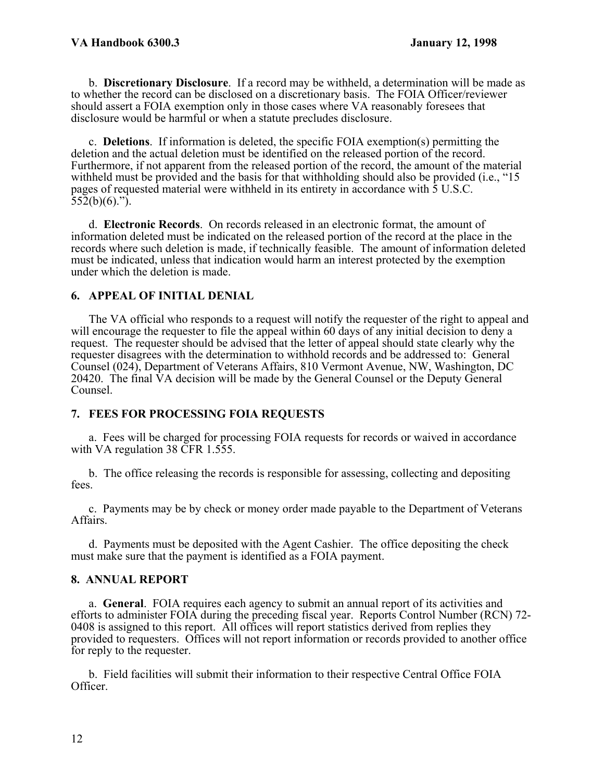b. **Discretionary Disclosure**. If a record may be withheld, a determination will be made as to whether the record can be disclosed on a discretionary basis. The FOIA Officer/reviewer should assert a FOIA exemption only in those cases where VA reasonably foresees that disclosure would be harmful or when a statute precludes disclosure.

 c. **Deletions**. If information is deleted, the specific FOIA exemption(s) permitting the deletion and the actual deletion must be identified on the released portion of the record. Furthermore, if not apparent from the released portion of the record, the amount of the material withheld must be provided and the basis for that withholding should also be provided (i.e., "15 pages of requested material were withheld in its entirety in accordance with 5 U.S.C.  $552(b)(6)$ .").

 d. **Electronic Records**. On records released in an electronic format, the amount of information deleted must be indicated on the released portion of the record at the place in the records where such deletion is made, if technically feasible. The amount of information deleted must be indicated, unless that indication would harm an interest protected by the exemption under which the deletion is made.

# **6. APPEAL OF INITIAL DENIAL**

The VA official who responds to a request will notify the requester of the right to appeal and will encourage the requester to file the appeal within 60 days of any initial decision to deny a request. The requester should be advised that the letter of appeal should state clearly why the requester disagrees with the determination to withhold records and be addressed to: General Counsel (024), Department of Veterans Affairs, 810 Vermont Avenue, NW, Washington, DC 20420. The final VA decision will be made by the General Counsel or the Deputy General Counsel.

## **7. FEES FOR PROCESSING FOIA REQUESTS**

a.Fees will be charged for processing FOIA requests for records or waived in accordance with VA regulation 38 CFR 1.555.

b. The office releasing the records is responsible for assessing, collecting and depositing fees.

c. Payments may be by check or money order made payable to the Department of Veterans Affairs.

d. Payments must be deposited with the Agent Cashier. The office depositing the check must make sure that the payment is identified as a FOIA payment.

## **8. ANNUAL REPORT**

 a. **General**. FOIA requires each agency to submit an annual report of its activities and efforts to administer FOIA during the preceding fiscal year. Reports Control Number (RCN) 72- 0408 is assigned to this report. All offices will report statistics derived from replies they provided to requesters. Offices will not report information or records provided to another office for reply to the requester.

b. Field facilities will submit their information to their respective Central Office FOIA Officer.